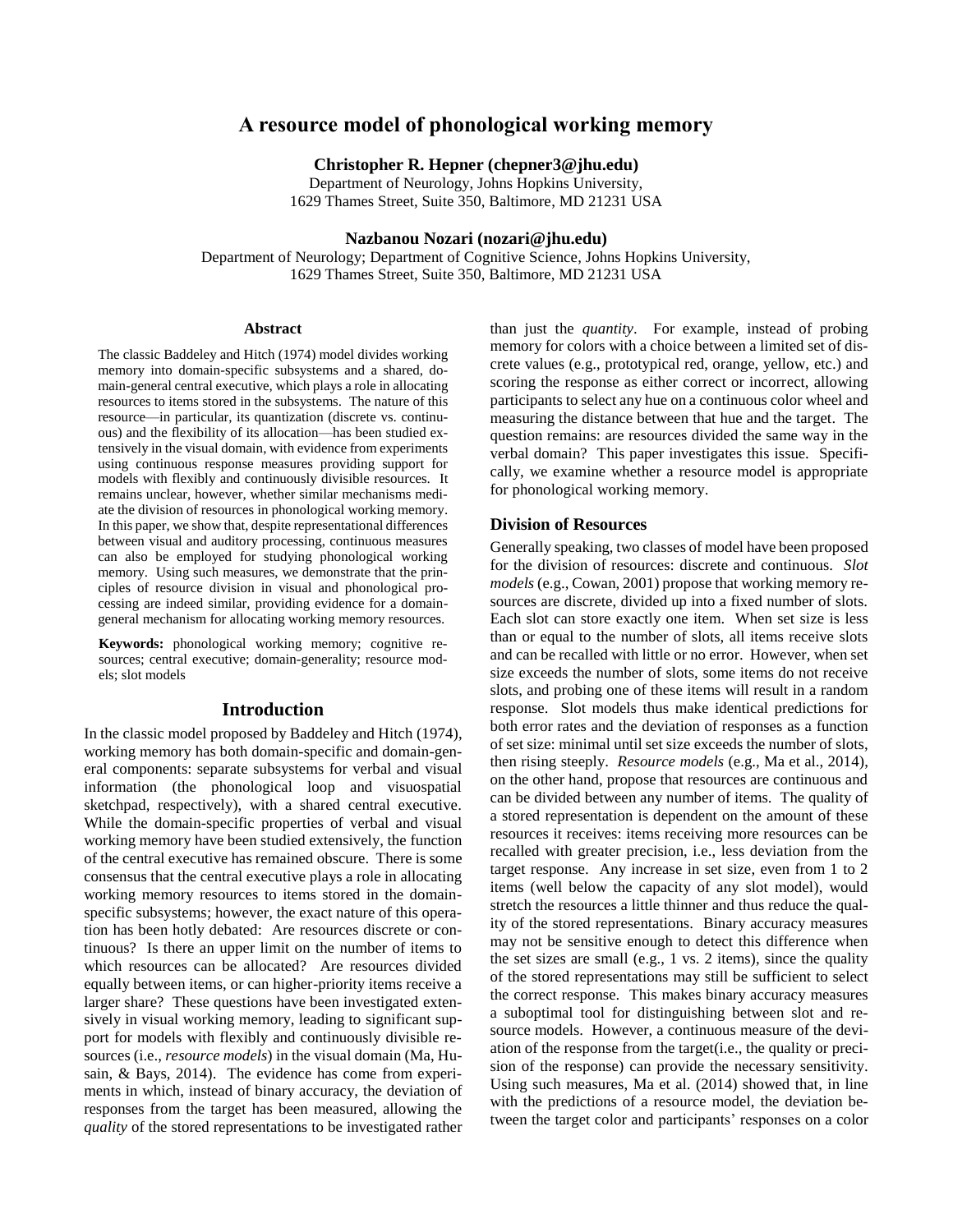# **A resource model of phonological working memory**

**Christopher R. Hepner (chepner3@jhu.edu)**

Department of Neurology, Johns Hopkins University, 1629 Thames Street, Suite 350, Baltimore, MD 21231 USA

# **Nazbanou Nozari (nozari@jhu.edu)**

Department of Neurology; Department of Cognitive Science, Johns Hopkins University, 1629 Thames Street, Suite 350, Baltimore, MD 21231 USA

#### **Abstract**

The classic Baddeley and Hitch (1974) model divides working memory into domain-specific subsystems and a shared, domain-general central executive, which plays a role in allocating resources to items stored in the subsystems. The nature of this resource—in particular, its quantization (discrete vs. continuous) and the flexibility of its allocation—has been studied extensively in the visual domain, with evidence from experiments using continuous response measures providing support for models with flexibly and continuously divisible resources. It remains unclear, however, whether similar mechanisms mediate the division of resources in phonological working memory. In this paper, we show that, despite representational differences between visual and auditory processing, continuous measures can also be employed for studying phonological working memory. Using such measures, we demonstrate that the principles of resource division in visual and phonological processing are indeed similar, providing evidence for a domaingeneral mechanism for allocating working memory resources.

**Keywords:** phonological working memory; cognitive resources; central executive; domain-generality; resource models; slot models

## **Introduction**

In the classic model proposed by Baddeley and Hitch (1974), working memory has both domain-specific and domain-general components: separate subsystems for verbal and visual information (the phonological loop and visuospatial sketchpad, respectively), with a shared central executive. While the domain-specific properties of verbal and visual working memory have been studied extensively, the function of the central executive has remained obscure. There is some consensus that the central executive plays a role in allocating working memory resources to items stored in the domainspecific subsystems; however, the exact nature of this operation has been hotly debated: Are resources discrete or continuous? Is there an upper limit on the number of items to which resources can be allocated? Are resources divided equally between items, or can higher-priority items receive a larger share? These questions have been investigated extensively in visual working memory, leading to significant support for models with flexibly and continuously divisible resources (i.e., *resource models*) in the visual domain (Ma, Husain, & Bays, 2014). The evidence has come from experiments in which, instead of binary accuracy, the deviation of responses from the target has been measured, allowing the *quality* of the stored representations to be investigated rather than just the *quantity*. For example, instead of probing memory for colors with a choice between a limited set of discrete values (e.g., prototypical red, orange, yellow, etc.) and scoring the response as either correct or incorrect, allowing participants to select any hue on a continuous color wheel and measuring the distance between that hue and the target. The question remains: are resources divided the same way in the verbal domain? This paper investigates this issue. Specifically, we examine whether a resource model is appropriate for phonological working memory.

#### **Division of Resources**

Generally speaking, two classes of model have been proposed for the division of resources: discrete and continuous. *Slot models* (e.g., Cowan, 2001) propose that working memory resources are discrete, divided up into a fixed number of slots. Each slot can store exactly one item. When set size is less than or equal to the number of slots, all items receive slots and can be recalled with little or no error. However, when set size exceeds the number of slots, some items do not receive slots, and probing one of these items will result in a random response. Slot models thus make identical predictions for both error rates and the deviation of responses as a function of set size: minimal until set size exceeds the number of slots, then rising steeply. *Resource models* (e.g., Ma et al., 2014), on the other hand, propose that resources are continuous and can be divided between any number of items. The quality of a stored representation is dependent on the amount of these resources it receives: items receiving more resources can be recalled with greater precision, i.e., less deviation from the target response. Any increase in set size, even from 1 to 2 items (well below the capacity of any slot model), would stretch the resources a little thinner and thus reduce the quality of the stored representations. Binary accuracy measures may not be sensitive enough to detect this difference when the set sizes are small (e.g., 1 vs. 2 items), since the quality of the stored representations may still be sufficient to select the correct response. This makes binary accuracy measures a suboptimal tool for distinguishing between slot and resource models. However, a continuous measure of the deviation of the response from the target(i.e., the quality or precision of the response) can provide the necessary sensitivity. Using such measures, Ma et al. (2014) showed that, in line with the predictions of a resource model, the deviation between the target color and participants' responses on a color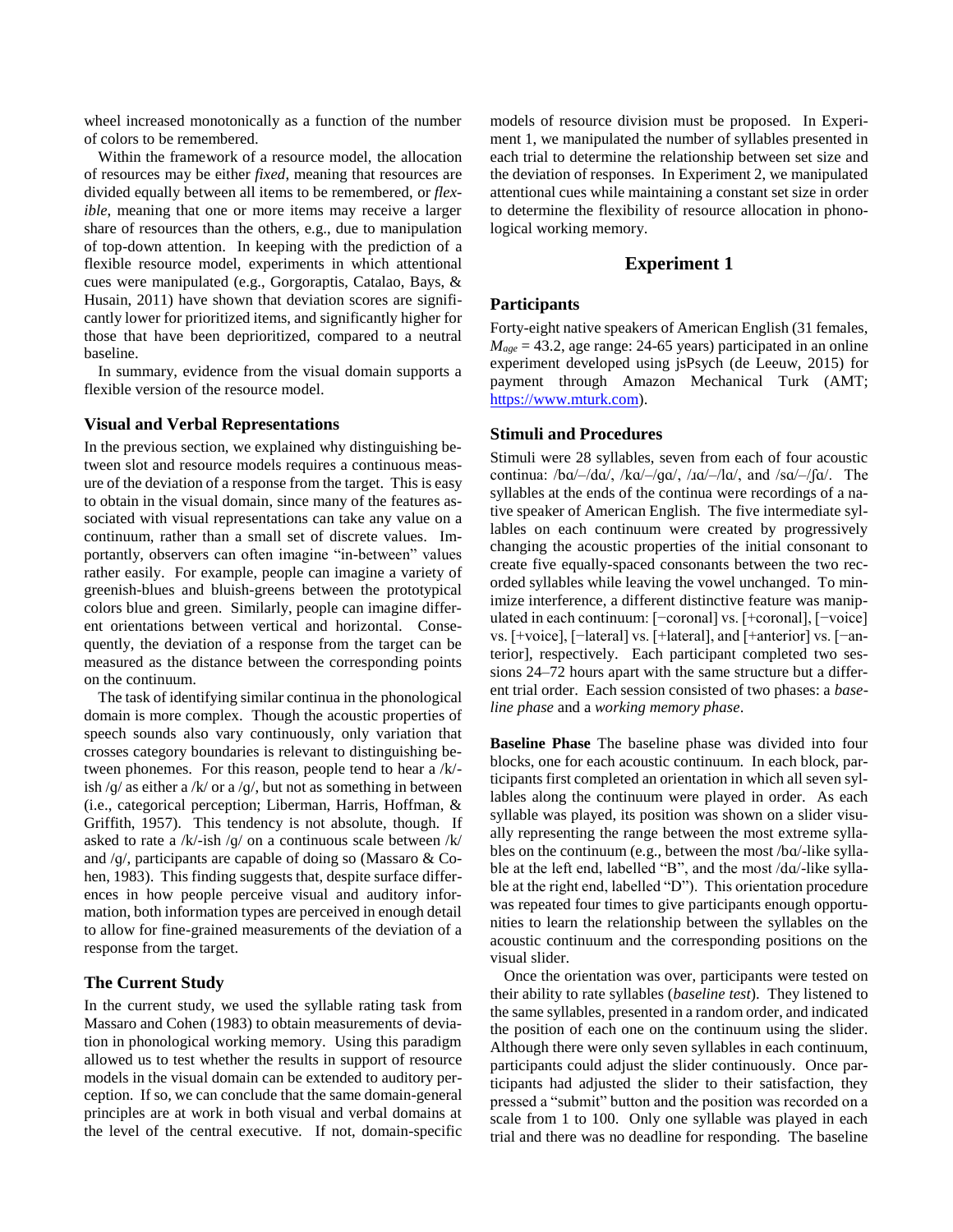wheel increased monotonically as a function of the number of colors to be remembered.

Within the framework of a resource model, the allocation of resources may be either *fixed*, meaning that resources are divided equally between all items to be remembered, or *flexible*, meaning that one or more items may receive a larger share of resources than the others, e.g., due to manipulation of top-down attention. In keeping with the prediction of a flexible resource model, experiments in which attentional cues were manipulated (e.g., Gorgoraptis, Catalao, Bays, & Husain, 2011) have shown that deviation scores are significantly lower for prioritized items, and significantly higher for those that have been deprioritized, compared to a neutral baseline.

In summary, evidence from the visual domain supports a flexible version of the resource model.

# **Visual and Verbal Representations**

In the previous section, we explained why distinguishing between slot and resource models requires a continuous measure of the deviation of a response from the target. This is easy to obtain in the visual domain, since many of the features associated with visual representations can take any value on a continuum, rather than a small set of discrete values. Importantly, observers can often imagine "in-between" values rather easily. For example, people can imagine a variety of greenish-blues and bluish-greens between the prototypical colors blue and green. Similarly, people can imagine different orientations between vertical and horizontal. Consequently, the deviation of a response from the target can be measured as the distance between the corresponding points on the continuum.

The task of identifying similar continua in the phonological domain is more complex. Though the acoustic properties of speech sounds also vary continuously, only variation that crosses category boundaries is relevant to distinguishing between phonemes. For this reason, people tend to hear a /k/ ish /g/ as either a /k/ or a /g/, but not as something in between (i.e., categorical perception; Liberman, Harris, Hoffman, & Griffith, 1957). This tendency is not absolute, though. If asked to rate a /k/-ish /ɡ/ on a continuous scale between /k/ and /ɡ/, participants are capable of doing so (Massaro & Cohen, 1983). This finding suggests that, despite surface differences in how people perceive visual and auditory information, both information types are perceived in enough detail to allow for fine-grained measurements of the deviation of a response from the target.

# **The Current Study**

In the current study, we used the syllable rating task from Massaro and Cohen (1983) to obtain measurements of deviation in phonological working memory. Using this paradigm allowed us to test whether the results in support of resource models in the visual domain can be extended to auditory perception. If so, we can conclude that the same domain-general principles are at work in both visual and verbal domains at the level of the central executive. If not, domain-specific models of resource division must be proposed. In Experiment 1, we manipulated the number of syllables presented in each trial to determine the relationship between set size and the deviation of responses. In Experiment 2, we manipulated attentional cues while maintaining a constant set size in order to determine the flexibility of resource allocation in phonological working memory.

# **Experiment 1**

# **Participants**

Forty-eight native speakers of American English (31 females,  $M_{age} = 43.2$ , age range: 24-65 years) participated in an online experiment developed using jsPsych (de Leeuw, 2015) for payment through Amazon Mechanical Turk (AMT; [https://www.mturk.com\)](https://www.mturk.com/).

# **Stimuli and Procedures**

Stimuli were 28 syllables, seven from each of four acoustic continua:  $/ba$ –/da/,  $/ka$ –/ga/,  $/a$ –/la/, and  $/sa$ –/ $fa$ . The syllables at the ends of the continua were recordings of a native speaker of American English. The five intermediate syllables on each continuum were created by progressively changing the acoustic properties of the initial consonant to create five equally-spaced consonants between the two recorded syllables while leaving the vowel unchanged. To minimize interference, a different distinctive feature was manipulated in each continuum: [−coronal] vs. [+coronal], [−voice] vs. [+voice], [−lateral] vs. [+lateral], and [+anterior] vs. [−anterior], respectively. Each participant completed two sessions 24–72 hours apart with the same structure but a different trial order. Each session consisted of two phases: a *baseline phase* and a *working memory phase*.

**Baseline Phase** The baseline phase was divided into four blocks, one for each acoustic continuum. In each block, participants first completed an orientation in which all seven syllables along the continuum were played in order. As each syllable was played, its position was shown on a slider visually representing the range between the most extreme syllables on the continuum (e.g., between the most /bɑ/-like syllable at the left end, labelled "B", and the most /dɑ/-like syllable at the right end, labelled "D"). This orientation procedure was repeated four times to give participants enough opportunities to learn the relationship between the syllables on the acoustic continuum and the corresponding positions on the visual slider.

Once the orientation was over, participants were tested on their ability to rate syllables (*baseline test*). They listened to the same syllables, presented in a random order, and indicated the position of each one on the continuum using the slider. Although there were only seven syllables in each continuum, participants could adjust the slider continuously. Once participants had adjusted the slider to their satisfaction, they pressed a "submit" button and the position was recorded on a scale from 1 to 100. Only one syllable was played in each trial and there was no deadline for responding. The baseline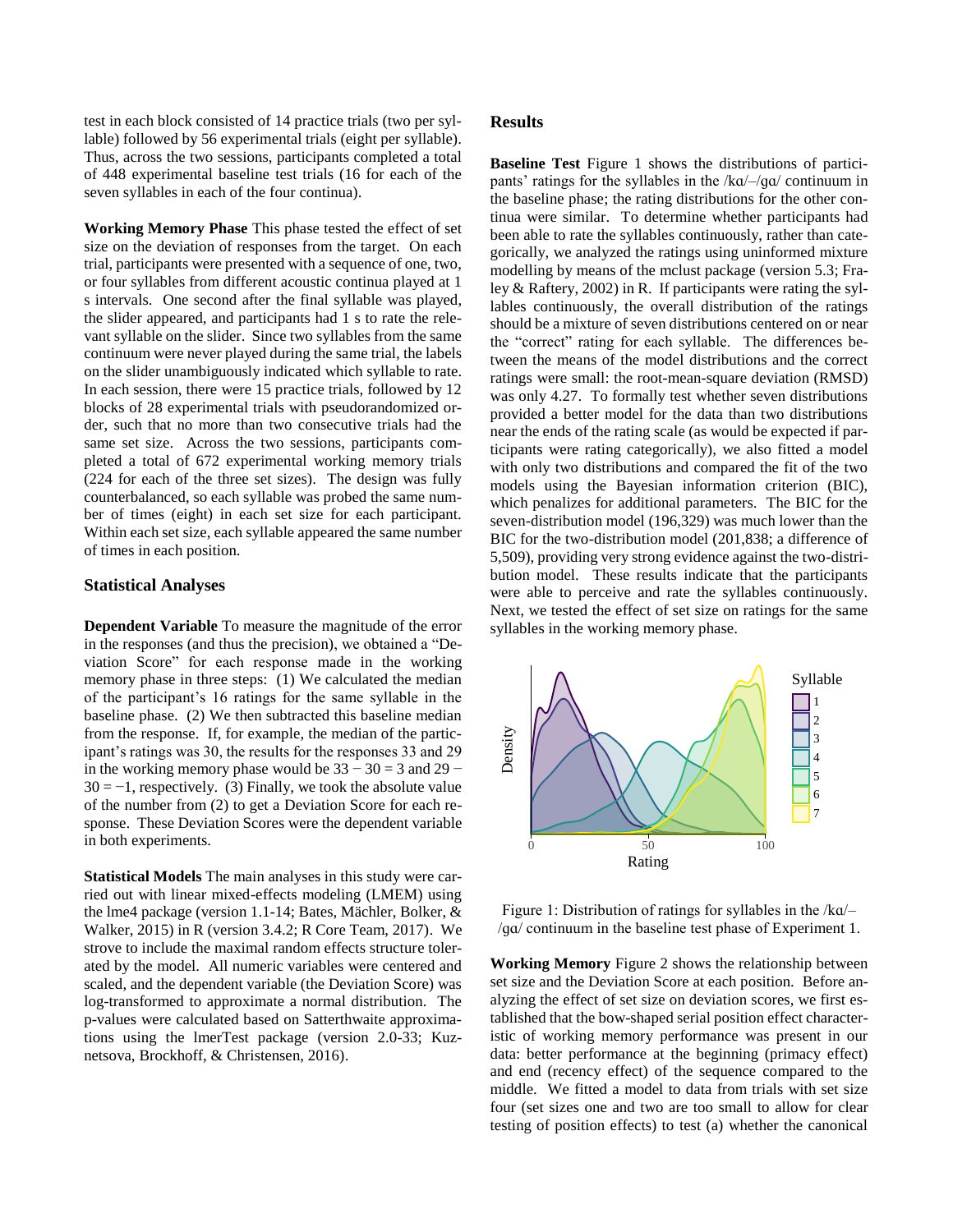test in each block consisted of 14 practice trials (two per syllable) followed by 56 experimental trials (eight per syllable). Thus, across the two sessions, participants completed a total of 448 experimental baseline test trials (16 for each of the seven syllables in each of the four continua).

**Working Memory Phase** This phase tested the effect of set size on the deviation of responses from the target. On each trial, participants were presented with a sequence of one, two, or four syllables from different acoustic continua played at 1 s intervals. One second after the final syllable was played, the slider appeared, and participants had 1 s to rate the relevant syllable on the slider. Since two syllables from the same continuum were never played during the same trial, the labels on the slider unambiguously indicated which syllable to rate. In each session, there were 15 practice trials, followed by 12 blocks of 28 experimental trials with pseudorandomized order, such that no more than two consecutive trials had the same set size. Across the two sessions, participants completed a total of 672 experimental working memory trials (224 for each of the three set sizes). The design was fully counterbalanced, so each syllable was probed the same number of times (eight) in each set size for each participant. Within each set size, each syllable appeared the same number of times in each position.

## **Statistical Analyses**

**Dependent Variable** To measure the magnitude of the error in the responses (and thus the precision), we obtained a "Deviation Score" for each response made in the working memory phase in three steps: (1) We calculated the median of the participant's 16 ratings for the same syllable in the baseline phase. (2) We then subtracted this baseline median from the response. If, for example, the median of the participant's ratings was 30, the results for the responses 33 and 29 in the working memory phase would be  $33 - 30 = 3$  and  $29 30 = -1$ , respectively. (3) Finally, we took the absolute value of the number from (2) to get a Deviation Score for each response. These Deviation Scores were the dependent variable in both experiments.

**Statistical Models** The main analyses in this study were carried out with linear mixed-effects modeling (LMEM) using the lme4 package (version 1.1-14; Bates, Mächler, Bolker, & Walker, 2015) in R (version 3.4.2; R Core Team, 2017). We strove to include the maximal random effects structure tolerated by the model. All numeric variables were centered and scaled, and the dependent variable (the Deviation Score) was log-transformed to approximate a normal distribution. The p-values were calculated based on Satterthwaite approximations using the lmerTest package (version 2.0-33; Kuznetsova, Brockhoff, & Christensen, 2016).

## **Results**

**Baseline Test** Figure 1 shows the distributions of participants' ratings for the syllables in the /kɑ/–/ɡɑ/ continuum in the baseline phase; the rating distributions for the other continua were similar. To determine whether participants had been able to rate the syllables continuously, rather than categorically, we analyzed the ratings using uninformed mixture modelling by means of the mclust package (version 5.3; Fraley & Raftery, 2002) in R. If participants were rating the syllables continuously, the overall distribution of the ratings should be a mixture of seven distributions centered on or near the "correct" rating for each syllable. The differences between the means of the model distributions and the correct ratings were small: the root-mean-square deviation (RMSD) was only 4.27. To formally test whether seven distributions provided a better model for the data than two distributions near the ends of the rating scale (as would be expected if participants were rating categorically), we also fitted a model with only two distributions and compared the fit of the two models using the Bayesian information criterion (BIC), which penalizes for additional parameters. The BIC for the seven-distribution model (196,329) was much lower than the BIC for the two-distribution model (201,838; a difference of 5,509), providing very strong evidence against the two-distribution model. These results indicate that the participants were able to perceive and rate the syllables continuously. Next, we tested the effect of set size on ratings for the same syllables in the working memory phase.



Figure 1: Distribution of ratings for syllables in the /kɑ/– /ɡɑ/ continuum in the baseline test phase of Experiment 1.

**Working Memory** Figure 2 shows the relationship between set size and the Deviation Score at each position. Before analyzing the effect of set size on deviation scores, we first established that the bow-shaped serial position effect characteristic of working memory performance was present in our data: better performance at the beginning (primacy effect) and end (recency effect) of the sequence compared to the middle. We fitted a model to data from trials with set size four (set sizes one and two are too small to allow for clear testing of position effects) to test (a) whether the canonical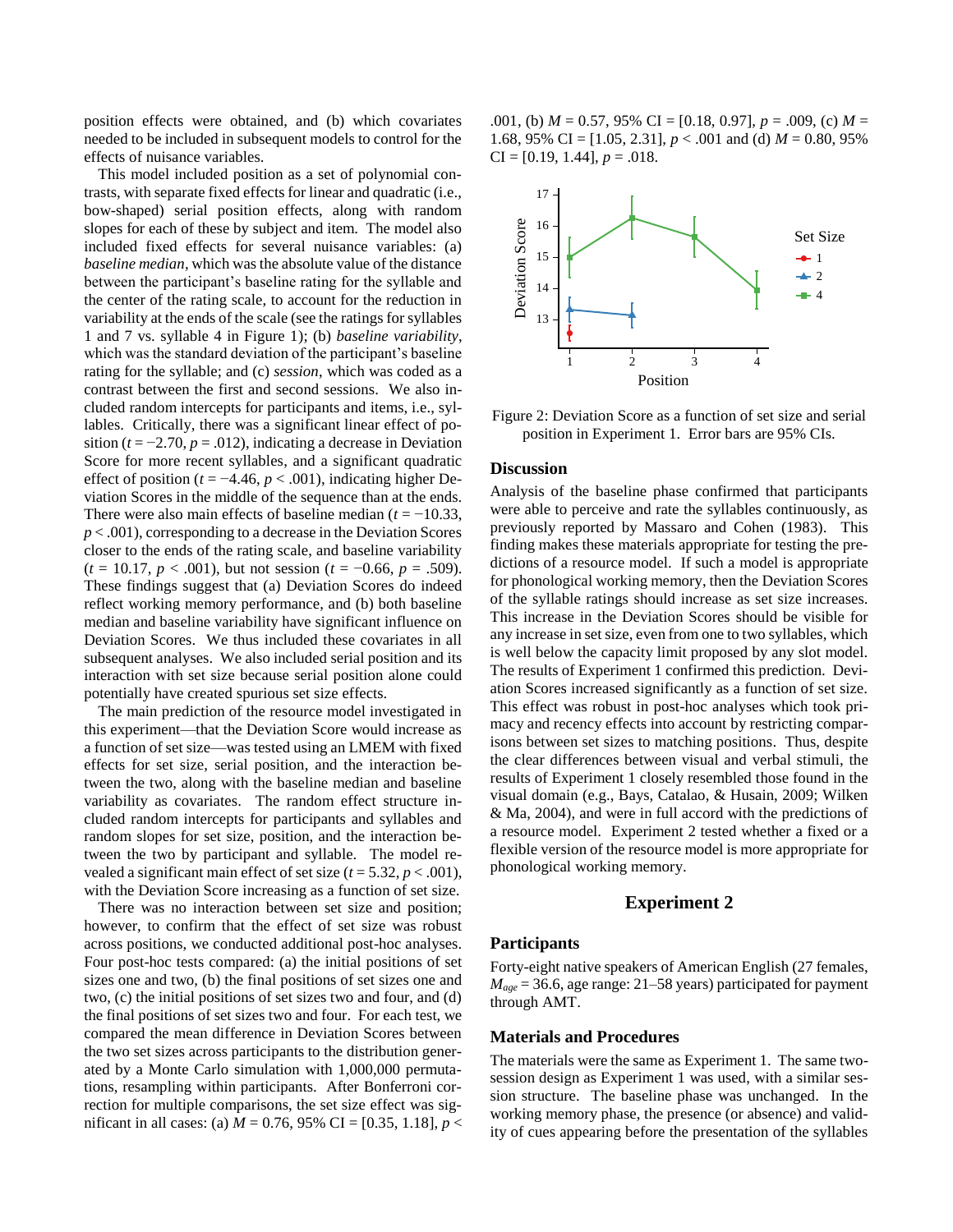position effects were obtained, and (b) which covariates needed to be included in subsequent models to control for the effects of nuisance variables.

This model included position as a set of polynomial contrasts, with separate fixed effects for linear and quadratic (i.e., bow-shaped) serial position effects, along with random slopes for each of these by subject and item. The model also included fixed effects for several nuisance variables: (a) *baseline median*, which was the absolute value of the distance between the participant's baseline rating for the syllable and the center of the rating scale, to account for the reduction in variability at the ends of the scale (see the ratings for syllables 1 and 7 vs. syllable 4 in Figure 1); (b) *baseline variability*, which was the standard deviation of the participant's baseline rating for the syllable; and (c) *session*, which was coded as a contrast between the first and second sessions. We also included random intercepts for participants and items, i.e., syllables. Critically, there was a significant linear effect of position  $(t = -2.70, p = .012)$ , indicating a decrease in Deviation Score for more recent syllables, and a significant quadratic effect of position ( $t = -4.46$ ,  $p < .001$ ), indicating higher Deviation Scores in the middle of the sequence than at the ends. There were also main effects of baseline median  $(t = -10.33)$ , *p* < .001), corresponding to a decrease in the Deviation Scores closer to the ends of the rating scale, and baseline variability  $(t = 10.17, p < .001)$ , but not session  $(t = -0.66, p = .509)$ . These findings suggest that (a) Deviation Scores do indeed reflect working memory performance, and (b) both baseline median and baseline variability have significant influence on Deviation Scores. We thus included these covariates in all subsequent analyses. We also included serial position and its interaction with set size because serial position alone could potentially have created spurious set size effects.

The main prediction of the resource model investigated in this experiment—that the Deviation Score would increase as a function of set size—was tested using an LMEM with fixed effects for set size, serial position, and the interaction between the two, along with the baseline median and baseline variability as covariates. The random effect structure included random intercepts for participants and syllables and random slopes for set size, position, and the interaction between the two by participant and syllable. The model revealed a significant main effect of set size  $(t = 5.32, p < .001)$ , with the Deviation Score increasing as a function of set size.

There was no interaction between set size and position; however, to confirm that the effect of set size was robust across positions, we conducted additional post-hoc analyses. Four post-hoc tests compared: (a) the initial positions of set sizes one and two, (b) the final positions of set sizes one and two, (c) the initial positions of set sizes two and four, and (d) the final positions of set sizes two and four. For each test, we compared the mean difference in Deviation Scores between the two set sizes across participants to the distribution generated by a Monte Carlo simulation with 1,000,000 permutations, resampling within participants. After Bonferroni correction for multiple comparisons, the set size effect was significant in all cases: (a) *M* = 0.76, 95% CI = [0.35, 1.18], *p* <

.001, (b) *M* = 0.57, 95% CI = [0.18, 0.97], *p* = .009, (c) *M* = 1.68, 95% CI =  $[1.05, 2.31]$ ,  $p < .001$  and (d)  $M = 0.80, 95%$  $CI = [0.19, 1.44], p = .018.$ 



Figure 2: Deviation Score as a function of set size and serial position in Experiment 1. Error bars are 95% CIs.

#### **Discussion**

Analysis of the baseline phase confirmed that participants were able to perceive and rate the syllables continuously, as previously reported by Massaro and Cohen (1983). This finding makes these materials appropriate for testing the predictions of a resource model. If such a model is appropriate for phonological working memory, then the Deviation Scores of the syllable ratings should increase as set size increases. This increase in the Deviation Scores should be visible for any increase in set size, even from one to two syllables, which is well below the capacity limit proposed by any slot model. The results of Experiment 1 confirmed this prediction. Deviation Scores increased significantly as a function of set size. This effect was robust in post-hoc analyses which took primacy and recency effects into account by restricting comparisons between set sizes to matching positions. Thus, despite the clear differences between visual and verbal stimuli, the results of Experiment 1 closely resembled those found in the visual domain (e.g., Bays, Catalao, & Husain, 2009; Wilken & Ma, 2004), and were in full accord with the predictions of a resource model. Experiment 2 tested whether a fixed or a flexible version of the resource model is more appropriate for phonological working memory.

## **Experiment 2**

## **Participants**

Forty-eight native speakers of American English (27 females, *Mage* = 36.6, age range: 21–58 years) participated for payment through AMT.

## **Materials and Procedures**

The materials were the same as Experiment 1. The same twosession design as Experiment 1 was used, with a similar session structure. The baseline phase was unchanged. In the working memory phase, the presence (or absence) and validity of cues appearing before the presentation of the syllables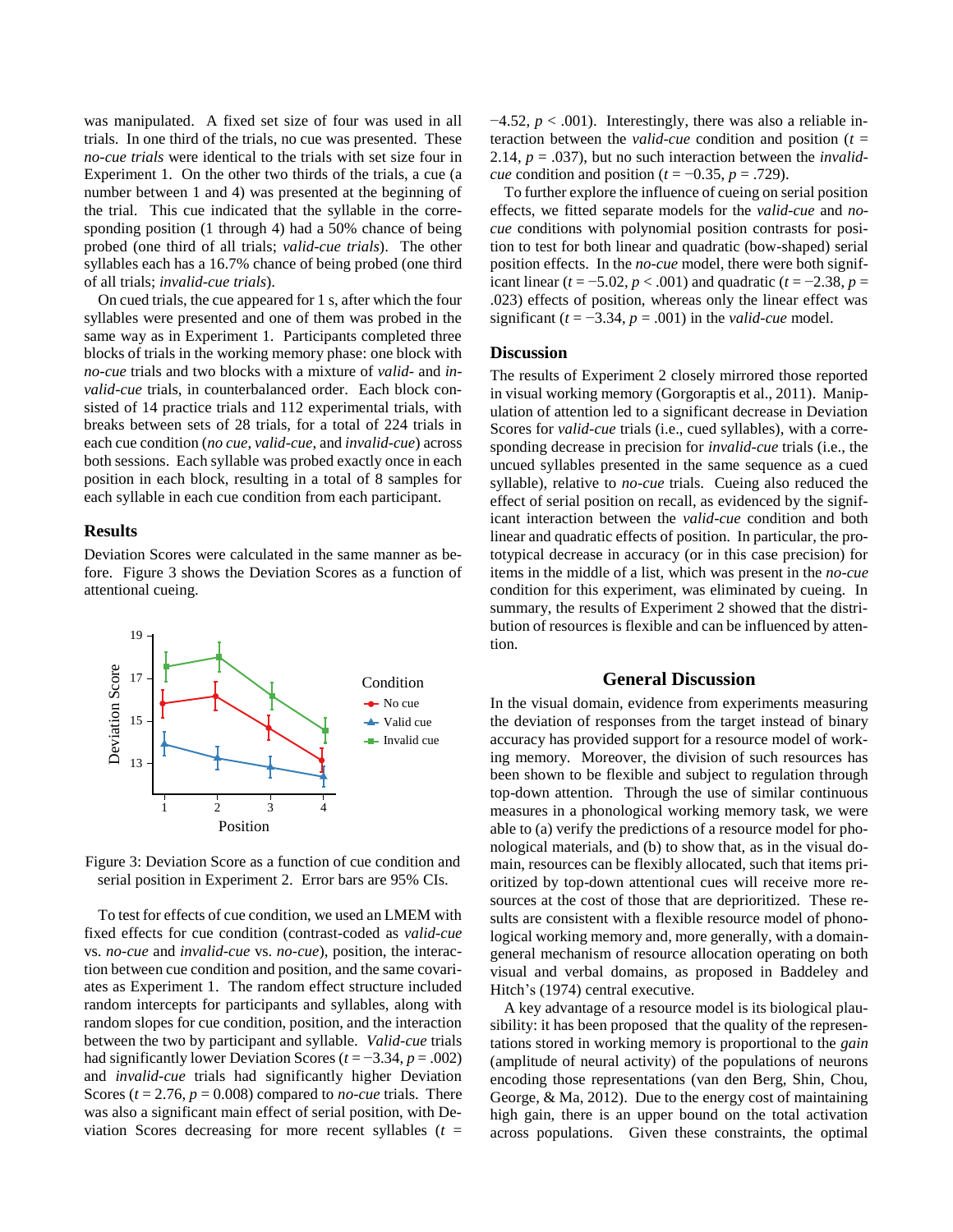was manipulated. A fixed set size of four was used in all trials. In one third of the trials, no cue was presented. These *no-cue trials* were identical to the trials with set size four in Experiment 1. On the other two thirds of the trials, a cue (a number between 1 and 4) was presented at the beginning of the trial. This cue indicated that the syllable in the corresponding position (1 through 4) had a 50% chance of being probed (one third of all trials; *valid-cue trials*). The other syllables each has a 16.7% chance of being probed (one third of all trials; *invalid-cue trials*).

On cued trials, the cue appeared for 1 s, after which the four syllables were presented and one of them was probed in the same way as in Experiment 1. Participants completed three blocks of trials in the working memory phase: one block with *no-cue* trials and two blocks with a mixture of *valid-* and *invalid-cue* trials, in counterbalanced order. Each block consisted of 14 practice trials and 112 experimental trials, with breaks between sets of 28 trials, for a total of 224 trials in each cue condition (*no cue*, *valid-cue*, and *invalid-cue*) across both sessions. Each syllable was probed exactly once in each position in each block, resulting in a total of 8 samples for each syllable in each cue condition from each participant.

## **Results**

Deviation Scores were calculated in the same manner as before. Figure 3 shows the Deviation Scores as a function of attentional cueing.



Figure 3: Deviation Score as a function of cue condition and serial position in Experiment 2. Error bars are 95% CIs.

To test for effects of cue condition, we used an LMEM with fixed effects for cue condition (contrast-coded as *valid-cue*  vs. *no-cue* and *invalid-cue* vs. *no-cue*), position, the interaction between cue condition and position, and the same covariates as Experiment 1. The random effect structure included random intercepts for participants and syllables, along with random slopes for cue condition, position, and the interaction between the two by participant and syllable. *Valid-cue* trials had significantly lower Deviation Scores ( $t = -3.34$ ,  $p = .002$ ) and *invalid-cue* trials had significantly higher Deviation Scores ( $t = 2.76$ ,  $p = 0.008$ ) compared to *no-cue* trials. There was also a significant main effect of serial position, with Deviation Scores decreasing for more recent syllables  $(t =$   $-4.52$ ,  $p < .001$ ). Interestingly, there was also a reliable interaction between the *valid-cue* condition and position ( $t =$ 2.14, *p* = .037), but no such interaction between the *invalidcue* condition and position ( $t = -0.35$ ,  $p = .729$ ).

To further explore the influence of cueing on serial position effects, we fitted separate models for the *valid-cue* and *nocue* conditions with polynomial position contrasts for position to test for both linear and quadratic (bow-shaped) serial position effects. In the *no-cue* model, there were both significant linear ( $t$  = −5.02,  $p$  < .001) and quadratic ( $t$  = −2.38,  $p$  = .023) effects of position, whereas only the linear effect was significant  $(t = -3.34, p = .001)$  in the *valid-cue* model.

## **Discussion**

The results of Experiment 2 closely mirrored those reported in visual working memory (Gorgoraptis et al., 2011). Manipulation of attention led to a significant decrease in Deviation Scores for *valid-cue* trials (i.e., cued syllables), with a corresponding decrease in precision for *invalid-cue* trials (i.e., the uncued syllables presented in the same sequence as a cued syllable), relative to *no-cue* trials. Cueing also reduced the effect of serial position on recall, as evidenced by the significant interaction between the *valid-cue* condition and both linear and quadratic effects of position. In particular, the prototypical decrease in accuracy (or in this case precision) for items in the middle of a list, which was present in the *no-cue* condition for this experiment, was eliminated by cueing. In summary, the results of Experiment 2 showed that the distribution of resources is flexible and can be influenced by attention.

# **General Discussion**

In the visual domain, evidence from experiments measuring the deviation of responses from the target instead of binary accuracy has provided support for a resource model of working memory. Moreover, the division of such resources has been shown to be flexible and subject to regulation through top-down attention. Through the use of similar continuous measures in a phonological working memory task, we were able to (a) verify the predictions of a resource model for phonological materials, and (b) to show that, as in the visual domain, resources can be flexibly allocated, such that items prioritized by top-down attentional cues will receive more resources at the cost of those that are deprioritized. These results are consistent with a flexible resource model of phonological working memory and, more generally, with a domaingeneral mechanism of resource allocation operating on both visual and verbal domains, as proposed in Baddeley and Hitch's (1974) central executive.

A key advantage of a resource model is its biological plausibility: it has been proposed that the quality of the representations stored in working memory is proportional to the *gain* (amplitude of neural activity) of the populations of neurons encoding those representations (van den Berg, Shin, Chou, George, & Ma, 2012). Due to the energy cost of maintaining high gain, there is an upper bound on the total activation across populations. Given these constraints, the optimal